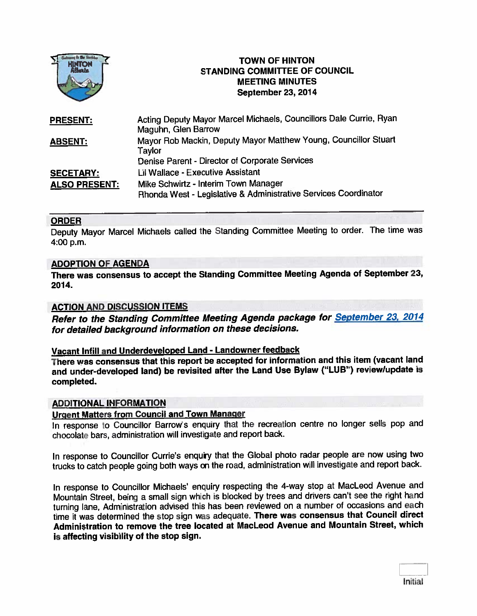

# **TOWN OF HINTON** STANDING COMMITTEE OF COUNCIL MEETING MINUTES September 23, 2014

| <b>PRESENT:</b>      | Acting Deputy Mayor Marcel Michaels, Councillors Dale Currie, Ryan<br>Maguhn, Glen Barrow |
|----------------------|-------------------------------------------------------------------------------------------|
| <b>ABSENT:</b>       | Mayor Rob Mackin, Deputy Mayor Matthew Young, Councillor Stuart<br>Taylor                 |
|                      | Denise Parent - Director of Corporate Services                                            |
| <b>SECETARY:</b>     | Lil Wallace - Executive Assistant                                                         |
| <b>ALSO PRESENT:</b> | Mike Schwirtz - Interim Town Manager                                                      |
|                      | Rhonda West - Legislative & Administrative Services Coordinator                           |

## ORDER

Deputy Mayor Marcel Michaels called the Standing Committee Meeting to order. The time was 4:00 p.m.

## ADOPTION OF AGENDA

There was consensus to accep<sup>t</sup> the Standing Committee Meeting Agenda of September 23, 2014.

## ACTION AND DISCUSSION ITEMS

Refer to the Standing Committee Meeting Agenda package for September 23, <sup>2014</sup> for detailed background information on these decisions.

#### Vacant InfilI and Underdeveloped Land - Landowner feedback

There was consensus that this repor<sup>t</sup> be accepted for information and this item (vacant land and under-developed land) be revisited after the Land Use Bylaw ("LUB") review/update is completed.

#### ADDITIONAL INFORMATION

# Urgent Matters from Council and Town Manager

In response to Councillor Barrow's enquiry that the recreation centre no longer sells pop and chocolate bars, administration will investigate and repor<sup>t</sup> back.

In response to Councillor Currie's enquiry that the Global photo radar people are now using two trucks to catch people going both ways on the road, administration will investigate and repor<sup>t</sup> back.

In response to Councillor Michaels' enquiry respecting the 4-way stop at MacLeod Avenue and Mountain Street, being <sup>a</sup> small sign which is blocked by trees and drivers can't see the right hand turning lane, Administration advised this has been reviewed on <sup>a</sup> number of occasions and each time it was determined the stop sign was adequate. There was consensus that Council direct Administration to remove the tree located at MacLeod Avenue and Mountain Street, which is affecting visibility of the stop sign.